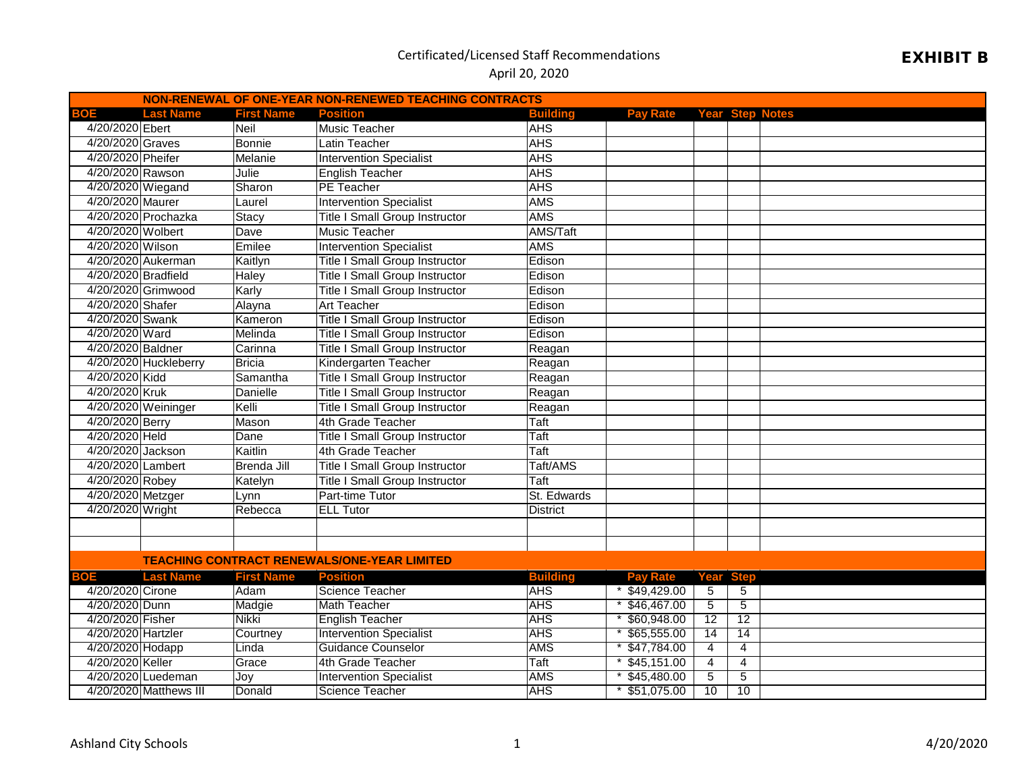# EXHIBIT B

| NON-RENEWAL OF ONE-YEAR NON-RENEWED TEACHING CONTRACTS |                        |                   |                                                    |                 |                                 |                |                 |  |
|--------------------------------------------------------|------------------------|-------------------|----------------------------------------------------|-----------------|---------------------------------|----------------|-----------------|--|
| BOE                                                    | <b>Last Name</b>       | <b>First Name</b> | <b>Position</b>                                    | <b>Building</b> | <b>Pay Rate Year Step Notes</b> |                |                 |  |
| 4/20/2020 Ebert                                        |                        | Neil              | <b>Music Teacher</b>                               | <b>AHS</b>      |                                 |                |                 |  |
| 4/20/2020 Graves                                       |                        | <b>Bonnie</b>     | Latin Teacher                                      | <b>AHS</b>      |                                 |                |                 |  |
| 4/20/2020 Pheifer                                      |                        | Melanie           | <b>Intervention Specialist</b>                     | <b>AHS</b>      |                                 |                |                 |  |
| 4/20/2020 Rawson                                       |                        | Julie             | <b>English Teacher</b>                             | <b>AHS</b>      |                                 |                |                 |  |
| 4/20/2020 Wiegand                                      |                        | Sharon            | PE Teacher                                         | <b>AHS</b>      |                                 |                |                 |  |
| 4/20/2020 Maurer                                       |                        | Laurel            | <b>Intervention Specialist</b>                     | <b>AMS</b>      |                                 |                |                 |  |
|                                                        | 4/20/2020 Prochazka    | Stacy             | <b>Title I Small Group Instructor</b>              | <b>AMS</b>      |                                 |                |                 |  |
| 4/20/2020 Wolbert                                      |                        | Dave              | <b>Music Teacher</b>                               | AMS/Taft        |                                 |                |                 |  |
| 4/20/2020 Wilson                                       |                        | Emilee            | <b>Intervention Specialist</b>                     | <b>AMS</b>      |                                 |                |                 |  |
|                                                        | 4/20/2020 Aukerman     | Kaitlyn           | <b>Title I Small Group Instructor</b>              | Edison          |                                 |                |                 |  |
| 4/20/2020 Bradfield                                    |                        | Haley             | <b>Title I Small Group Instructor</b>              | Edison          |                                 |                |                 |  |
|                                                        | 4/20/2020 Grimwood     | Karly             | <b>Title I Small Group Instructor</b>              | Edison          |                                 |                |                 |  |
| 4/20/2020 Shafer                                       |                        | Alayna            | <b>Art Teacher</b>                                 | Edison          |                                 |                |                 |  |
| 4/20/2020 Swank                                        |                        | Kameron           | <b>Title I Small Group Instructor</b>              | Edison          |                                 |                |                 |  |
| 4/20/2020 Ward                                         |                        | Melinda           | <b>Title I Small Group Instructor</b>              | Edison          |                                 |                |                 |  |
| 4/20/2020 Baldner                                      |                        | Carinna           | <b>Title I Small Group Instructor</b>              | Reagan          |                                 |                |                 |  |
|                                                        | 4/20/2020 Huckleberry  | <b>Bricia</b>     | Kindergarten Teacher                               | Reagan          |                                 |                |                 |  |
| 4/20/2020 Kidd                                         |                        | Samantha          | <b>Title I Small Group Instructor</b>              | Reagan          |                                 |                |                 |  |
| 4/20/2020 Kruk                                         |                        | Danielle          | <b>Title I Small Group Instructor</b>              | Reagan          |                                 |                |                 |  |
|                                                        | 4/20/2020 Weininger    | Kelli             | <b>Title I Small Group Instructor</b>              | Reagan          |                                 |                |                 |  |
| 4/20/2020 Berry                                        |                        | Mason             | 4th Grade Teacher                                  | Taft            |                                 |                |                 |  |
| 4/20/2020 Held                                         |                        | Dane              | <b>Title I Small Group Instructor</b>              | Taft            |                                 |                |                 |  |
| 4/20/2020 Jackson                                      |                        | Kaitlin           | 4th Grade Teacher                                  | Taft            |                                 |                |                 |  |
| 4/20/2020 Lambert                                      |                        | Brenda Jill       | <b>Title I Small Group Instructor</b>              | Taft/AMS        |                                 |                |                 |  |
| 4/20/2020 Robey                                        |                        | Katelyn           | <b>Title I Small Group Instructor</b>              | Taft            |                                 |                |                 |  |
| 4/20/2020 Metzger                                      |                        | Lynn              | Part-time Tutor                                    | St. Edwards     |                                 |                |                 |  |
| 4/20/2020 Wright                                       |                        | Rebecca           | <b>ELL Tutor</b>                                   | <b>District</b> |                                 |                |                 |  |
|                                                        |                        |                   |                                                    |                 |                                 |                |                 |  |
|                                                        |                        |                   |                                                    |                 |                                 |                |                 |  |
|                                                        |                        |                   | <b>TEACHING CONTRACT RENEWALS/ONE-YEAR LIMITED</b> |                 |                                 |                |                 |  |
| <b>BOE</b>                                             | <b>Last Name</b>       | <b>First Name</b> | <b>Position</b>                                    | <b>Building</b> | <b>Pay Rate</b>                 | Year           | <b>Step</b>     |  |
| 4/20/2020 Cirone                                       |                        | Adam              | Science Teacher                                    | <b>AHS</b>      | $*$ \$49,429.00                 | 5              | 5               |  |
| 4/20/2020 Dunn                                         |                        | Madgie            | Math Teacher                                       | <b>AHS</b>      | \$46,467.00                     | $\overline{5}$ | $\overline{5}$  |  |
| 4/20/2020 Fisher                                       |                        | Nikki             | <b>English Teacher</b>                             | <b>AHS</b>      | \$60,948.00                     | 12             | 12              |  |
| 4/20/2020 Hartzler                                     |                        | Courtney          | <b>Intervention Specialist</b>                     | <b>AHS</b>      | \$65,555.00                     | 14             | $\overline{14}$ |  |
| 4/20/2020 Hodapp                                       |                        | Linda             | <b>Guidance Counselor</b>                          | <b>AMS</b>      | \$47,784.00                     | $\overline{4}$ | $\overline{4}$  |  |
| 4/20/2020 Keller                                       |                        | Grace             | 4th Grade Teacher                                  | Taft            | \$45,151.00                     | $\overline{4}$ | $\overline{4}$  |  |
|                                                        | 4/20/2020 Luedeman     | Joy               | <b>Intervention Specialist</b>                     | <b>AMS</b>      | \$45,480.00                     | $\overline{5}$ | 5               |  |
|                                                        | 4/20/2020 Matthews III | Donald            | Science Teacher                                    | <b>AHS</b>      | \$51,075.00                     | 10             | 10              |  |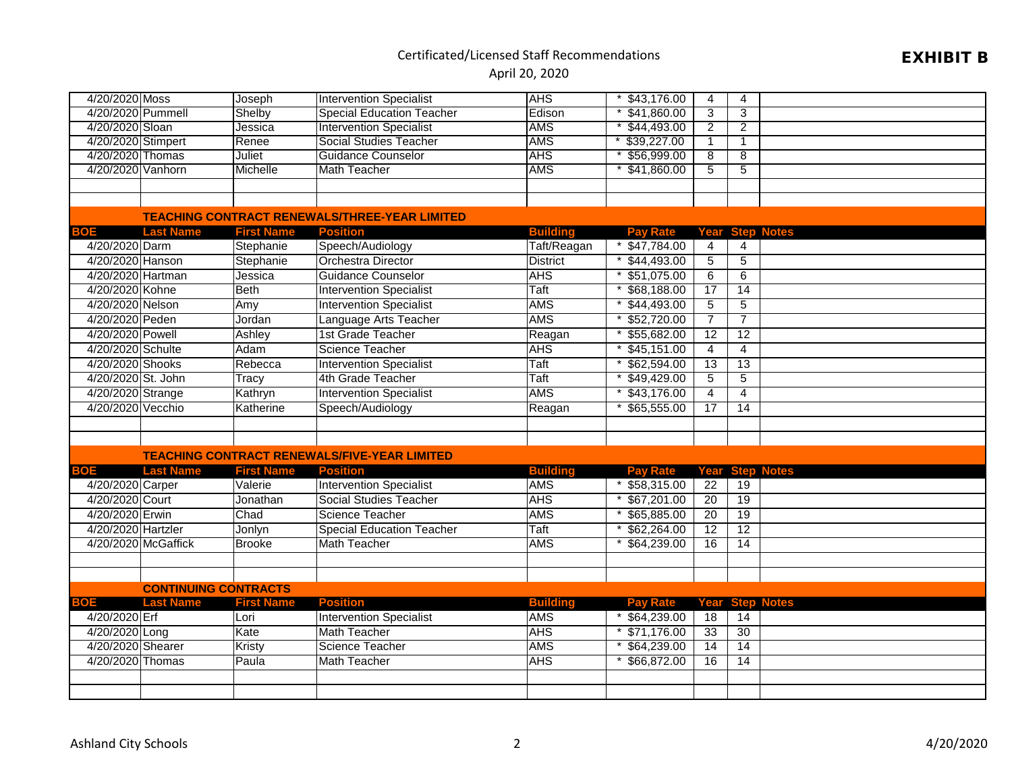## EXHIBIT B

| 4/20/2020 Moss     |                             | Joseph            | <b>Intervention Specialist</b>                       | <b>AHS</b>      | \$43,176.00     | 4               | 4                      |
|--------------------|-----------------------------|-------------------|------------------------------------------------------|-----------------|-----------------|-----------------|------------------------|
| 4/20/2020 Pummell  |                             | Shelby            | <b>Special Education Teacher</b>                     | Edison          | \$41,860.00     | $\overline{3}$  | 3                      |
| 4/20/2020 Sloan    |                             | Jessica           | <b>Intervention Specialist</b>                       | <b>AMS</b>      | \$44,493.00     | 2               | $\overline{2}$         |
| 4/20/2020 Stimpert |                             | Renee             | <b>Social Studies Teacher</b>                        | <b>AMS</b>      | \$39,227.00     | $\mathbf{1}$    | $\mathbf 1$            |
| 4/20/2020 Thomas   |                             | <b>Juliet</b>     | <b>Guidance Counselor</b>                            | <b>AHS</b>      | \$56,999.00     | $\overline{8}$  | $\overline{8}$         |
| 4/20/2020 Vanhorn  |                             | Michelle          | <b>Math Teacher</b>                                  | <b>AMS</b>      | \$41,860.00     | 5               | 5                      |
|                    |                             |                   |                                                      |                 |                 |                 |                        |
|                    |                             |                   |                                                      |                 |                 |                 |                        |
|                    |                             |                   | <b>TEACHING CONTRACT RENEWALS/THREE-YEAR LIMITED</b> |                 |                 |                 |                        |
| BOE                | <b>Last Name</b>            | <b>First Name</b> | <b>Position</b>                                      | <b>Building</b> | <b>Pay Rate</b> | Year            | <b>Step Notes</b>      |
| 4/20/2020 Darm     |                             | Stephanie         | Speech/Audiology                                     | Taft/Reagan     | \$47,784.00     | $\overline{4}$  | 4                      |
| 4/20/2020 Hanson   |                             | Stephanie         | <b>Orchestra Director</b>                            | <b>District</b> | $*$ \$44,493.00 | 5               | 5                      |
| 4/20/2020 Hartman  |                             | Jessica           | <b>Guidance Counselor</b>                            | <b>AHS</b>      | $*$ \$51,075.00 | 6               | 6                      |
| 4/20/2020 Kohne    |                             | <b>Beth</b>       | <b>Intervention Specialist</b>                       | Taft            | \$68,188.00     | 17              | 14                     |
| 4/20/2020 Nelson   |                             | Amy               | <b>Intervention Specialist</b>                       | <b>AMS</b>      | \$44,493.00     | $\overline{5}$  | 5                      |
| 4/20/2020 Peden    |                             | Jordan            | Language Arts Teacher                                | <b>AMS</b>      | \$52,720.00     | $\overline{7}$  | $\overline{7}$         |
| 4/20/2020 Powell   |                             | Ashley            | 1st Grade Teacher                                    | Reagan          | \$55,682.00     | $\overline{12}$ | 12                     |
| 4/20/2020 Schulte  |                             | Adam              | Science Teacher                                      | <b>AHS</b>      | \$45,151.00     | $\overline{4}$  | 4                      |
| 4/20/2020 Shooks   |                             | Rebecca           | <b>Intervention Specialist</b>                       | Taft            | \$62,594.00     | $\overline{13}$ | $\overline{13}$        |
| 4/20/2020 St. John |                             | Tracy             | 4th Grade Teacher                                    | Taft            | \$49,429.00     | 5               | $\overline{5}$         |
| 4/20/2020 Strange  |                             | Kathryn           | <b>Intervention Specialist</b>                       | <b>AMS</b>      | \$43,176.00     | $\overline{4}$  | $\overline{4}$         |
| 4/20/2020 Vecchio  |                             | Katherine         | Speech/Audiology                                     | Reagan          | \$65,555.00     | 17              | 14                     |
|                    |                             |                   |                                                      |                 |                 |                 |                        |
|                    |                             |                   |                                                      |                 |                 |                 |                        |
|                    |                             |                   | <b>TEACHING CONTRACT RENEWALS/FIVE-YEAR LIMITED</b>  |                 |                 |                 |                        |
| <b>BOE</b>         | <b>Last Name</b>            | <b>First Name</b> | <b>Position</b>                                      | <b>Building</b> | Pav Rate        | Year            | <b>Step Notes</b>      |
| 4/20/2020 Carper   |                             | Valerie           | <b>Intervention Specialist</b>                       | <b>AMS</b>      | \$58,315.00     | $\overline{22}$ | 19                     |
| 4/20/2020 Court    |                             | Jonathan          | <b>Social Studies Teacher</b>                        | <b>AHS</b>      | $*$ \$67,201.00 | 20              | 19                     |
| 4/20/2020 Erwin    |                             | Chad              | <b>Science Teacher</b>                               | <b>AMS</b>      | \$65,885.00     | 20              | 19                     |
| 4/20/2020 Hartzler |                             | Jonlyn            | <b>Special Education Teacher</b>                     | <b>Taft</b>     | $*$ \$62,264.00 | $\overline{12}$ | $\overline{12}$        |
|                    | 4/20/2020 McGaffick         | <b>Brooke</b>     | <b>Math Teacher</b>                                  | <b>AMS</b>      | \$64,239.00     | 16              | 14                     |
|                    |                             |                   |                                                      |                 |                 |                 |                        |
|                    |                             |                   |                                                      |                 |                 |                 |                        |
|                    | <b>CONTINUING CONTRACTS</b> |                   |                                                      |                 |                 |                 |                        |
| <b>BOE</b>         | <b>Last Name</b>            | <b>First Name</b> | <b>Position</b>                                      | <b>Building</b> | <b>Pay Rate</b> |                 | <b>Year Step Notes</b> |
| 4/20/2020 Erf      |                             | Lori              | <b>Intervention Specialist</b>                       | <b>AMS</b>      | $*$ \$64,239.00 | 18              | 14                     |
| 4/20/2020 Long     |                             | Kate              | <b>Math Teacher</b>                                  | <b>AHS</b>      | $*$ \$71,176.00 | 33              | 30                     |
| 4/20/2020 Shearer  |                             | Kristy            | <b>Science Teacher</b>                               | <b>AMS</b>      | \$64,239.00     | $\overline{14}$ | $\overline{14}$        |
| 4/20/2020 Thomas   |                             | Paula             | <b>Math Teacher</b>                                  | <b>AHS</b>      | \$66,872.00     | $\overline{16}$ | $\overline{14}$        |
|                    |                             |                   |                                                      |                 |                 |                 |                        |
|                    |                             |                   |                                                      |                 |                 |                 |                        |
|                    |                             |                   |                                                      |                 |                 |                 |                        |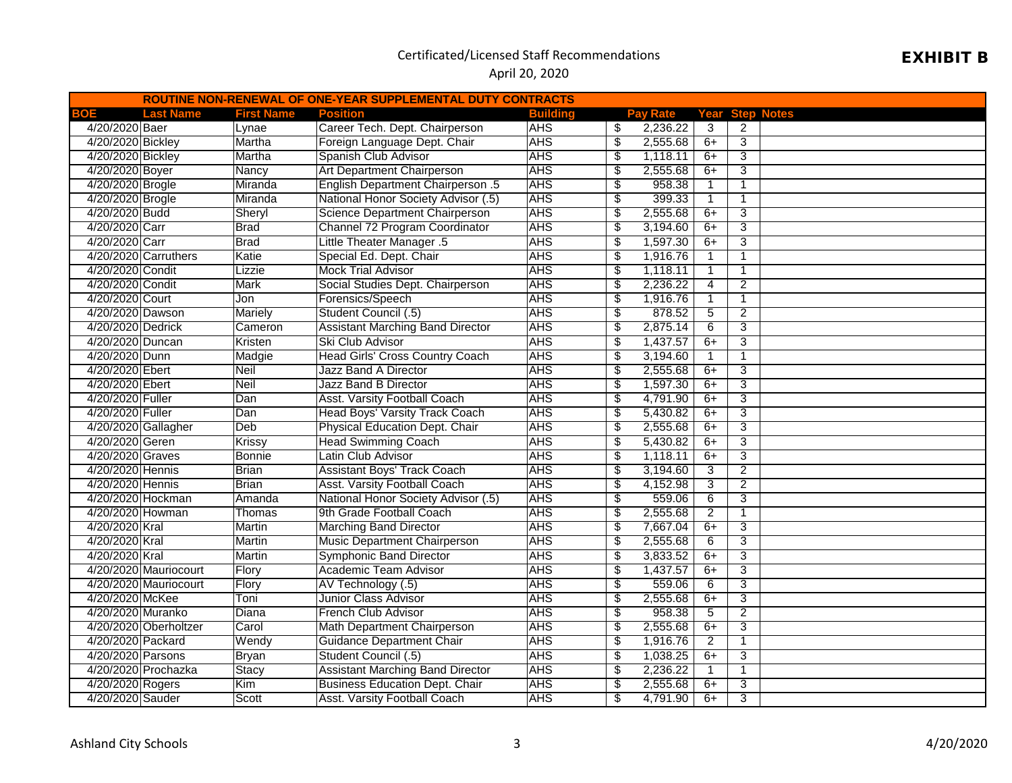#### April 20, 2020

| ROUTINE NON-RENEWAL OF ONE-YEAR SUPPLEMENTAL DUTY CONTRACTS |                       |                   |                                          |                 |                                  |          |                |                |                   |
|-------------------------------------------------------------|-----------------------|-------------------|------------------------------------------|-----------------|----------------------------------|----------|----------------|----------------|-------------------|
| BOE                                                         | <b>Last Name</b>      | <b>First Name</b> | <b>Position</b>                          | <b>Building</b> |                                  | Pav Rate | Year           |                | <b>Step Notes</b> |
| 4/20/2020 Baer                                              |                       | Lynae             | Career Tech. Dept. Chairperson           | <b>AHS</b>      | \$                               | 2,236.22 | 3              | 2              |                   |
| 4/20/2020 Bickley                                           |                       | Martha            | Foreign Language Dept. Chair             | <b>AHS</b>      | $\overline{\$}$                  | 2,555.68 | $6+$           | $\overline{3}$ |                   |
| 4/20/2020 Bickley                                           |                       | Martha            | Spanish Club Advisor                     | <b>AHS</b>      | S                                | 1,118.11 | $6+$           | 3              |                   |
| 4/20/2020 Boyer                                             |                       | Nancy             | Art Department Chairperson               | <b>AHS</b>      | \$                               | 2,555.68 | $6+$           | 3              |                   |
| 4/20/2020 Brogle                                            |                       | Miranda           | <b>English Department Chairperson .5</b> | <b>AHS</b>      | \$                               | 958.38   | $\mathbf{1}$   | $\mathbf{1}$   |                   |
| 4/20/2020 Brogle                                            |                       | Miranda           | National Honor Society Advisor (.5)      | <b>AHS</b>      | \$                               | 399.33   | $\mathbf{1}$   | $\mathbf{1}$   |                   |
| 4/20/2020 Budd                                              |                       | Sheryl            | Science Department Chairperson           | <b>AHS</b>      | \$                               | 2,555.68 | $6+$           | $\overline{3}$ |                   |
| 4/20/2020 Carr                                              |                       | <b>Brad</b>       | Channel 72 Program Coordinator           | <b>AHS</b>      | \$                               | 3,194.60 | $6+$           | 3              |                   |
| 4/20/2020 Carr                                              |                       | <b>Brad</b>       | <b>Little Theater Manager .5</b>         | <b>AHS</b>      | \$                               | 1,597.30 | $6+$           | 3              |                   |
|                                                             | 4/20/2020 Carruthers  | Katie             | Special Ed. Dept. Chair                  | <b>AHS</b>      | \$                               | 1,916.76 | $\mathbf{1}$   | $\mathbf{1}$   |                   |
| 4/20/2020 Condit                                            |                       | Lizzie            | <b>Mock Trial Advisor</b>                | <b>AHS</b>      | $\overline{\$}$                  | 1,118.11 | $\mathbf{1}$   | $\mathbf{1}$   |                   |
| 4/20/2020 Condit                                            |                       | Mark              | Social Studies Dept. Chairperson         | <b>AHS</b>      | \$                               | 2,236.22 | 4              | 2              |                   |
| 4/20/2020 Court                                             |                       | Jon               | Forensics/Speech                         | <b>AHS</b>      | \$                               | 1,916.76 | $\mathbf{1}$   | $\mathbf{1}$   |                   |
| 4/20/2020 Dawson                                            |                       | <b>Mariely</b>    | Student Council (.5)                     | <b>AHS</b>      | \$                               | 878.52   | 5              | $\overline{2}$ |                   |
| 4/20/2020 Dedrick                                           |                       | Cameron           | <b>Assistant Marching Band Director</b>  | <b>AHS</b>      | \$                               | 2,875.14 | 6              | 3              |                   |
| 4/20/2020 Duncan                                            |                       | Kristen           | Ski Club Advisor                         | <b>AHS</b>      | $\overline{\mathcal{S}}$         | 1,437.57 | $6+$           | 3              |                   |
| 4/20/2020 Dunn                                              |                       | Madgie            | <b>Head Girls' Cross Country Coach</b>   | <b>AHS</b>      | $\overline{\$}$                  | 3,194.60 | $\mathbf{1}$   | $\mathbf 1$    |                   |
| 4/20/2020 Ebert                                             |                       | <b>Neil</b>       | <b>Jazz Band A Director</b>              | <b>AHS</b>      | $\overline{\$}$                  | 2,555.68 | $6+$           | 3              |                   |
| 4/20/2020 Ebert                                             |                       | <b>Neil</b>       | <b>Jazz Band B Director</b>              | <b>AHS</b>      | S                                | 1,597.30 | $6+$           | 3              |                   |
| 4/20/2020 Fuller                                            |                       | Dan               | <b>Asst. Varsity Football Coach</b>      | <b>AHS</b>      | $\overline{\$}$                  | 4,791.90 | $6+$           | 3              |                   |
| 4/20/2020 Fuller                                            |                       | Dan               | <b>Head Boys' Varsity Track Coach</b>    | <b>AHS</b>      | $\overline{\boldsymbol{\theta}}$ | 5,430.82 | $6+$           | 3              |                   |
|                                                             | 4/20/2020 Gallagher   | Deb               | Physical Education Dept. Chair           | <b>AHS</b>      | $\overline{\$}$                  | 2,555.68 | $6+$           | 3              |                   |
| 4/20/2020 Geren                                             |                       | Krissy            | <b>Head Swimming Coach</b>               | <b>AHS</b>      | \$                               | 5,430.82 | $6+$           | 3              |                   |
| 4/20/2020 Graves                                            |                       | <b>Bonnie</b>     | Latin Club Advisor                       | <b>AHS</b>      | \$                               | 1,118.11 | $6+$           | 3              |                   |
| 4/20/2020 Hennis                                            |                       | Brian             | <b>Assistant Boys' Track Coach</b>       | <b>AHS</b>      | \$                               | 3,194.60 | 3              | $\overline{2}$ |                   |
| 4/20/2020 Hennis                                            |                       | <b>Brian</b>      | <b>Asst. Varsity Football Coach</b>      | <b>AHS</b>      | \$                               | 4,152.98 | 3              | $\overline{2}$ |                   |
|                                                             | 4/20/2020 Hockman     | Amanda            | National Honor Society Advisor (.5)      | <b>AHS</b>      | \$                               | 559.06   | 6              | 3              |                   |
| 4/20/2020 Howman                                            |                       | Thomas            | 9th Grade Football Coach                 | <b>AHS</b>      | \$                               | 2,555.68 | $\overline{2}$ | 1              |                   |
| 4/20/2020 Kral                                              |                       | Martin            | <b>Marching Band Director</b>            | <b>AHS</b>      | \$                               | 7,667.04 | $6+$           | $\overline{3}$ |                   |
| 4/20/2020 Kral                                              |                       | Martin            | Music Department Chairperson             | <b>AHS</b>      | \$                               | 2,555.68 | 6              | $\overline{3}$ |                   |
| 4/20/2020 Kral                                              |                       | Martin            | <b>Symphonic Band Director</b>           | <b>AHS</b>      | \$                               | 3,833.52 | $6+$           | 3              |                   |
|                                                             | 4/20/2020 Mauriocourt | Flory             | <b>Academic Team Advisor</b>             | <b>AHS</b>      | \$                               | 1,437.57 | $6+$           | 3              |                   |
|                                                             | 4/20/2020 Mauriocourt | Flory             | AV Technology (.5)                       | <b>AHS</b>      | \$                               | 559.06   | 6              | 3              |                   |
| 4/20/2020 McKee                                             |                       | Toni              | Junior Class Advisor                     | <b>AHS</b>      | $\overline{\$}$                  | 2,555.68 | $6+$           | $\overline{3}$ |                   |
| 4/20/2020 Muranko                                           |                       | Diana             | French Club Advisor                      | <b>AHS</b>      | \$                               | 958.38   | 5              | 2              |                   |
|                                                             | 4/20/2020 Oberholtzer | Carol             | Math Department Chairperson              | <b>AHS</b>      | $\overline{\$}$                  | 2,555.68 | $6+$           | $\overline{3}$ |                   |
| 4/20/2020 Packard                                           |                       | Wendy             | <b>Guidance Department Chair</b>         | <b>AHS</b>      | $\overline{\$}$                  | 1,916.76 | $\overline{2}$ | $\mathbf{1}$   |                   |
| 4/20/2020 Parsons                                           |                       | <b>Bryan</b>      | Student Council (.5)                     | <b>AHS</b>      | $\overline{\$}$                  | 1,038.25 | $6+$           | 3              |                   |
|                                                             | 4/20/2020 Prochazka   | <b>Stacy</b>      | <b>Assistant Marching Band Director</b>  | <b>AHS</b>      | $\overline{\mathcal{S}}$         | 2,236.22 | $\mathbf{1}$   | $\mathbf{1}$   |                   |
| 4/20/2020 Rogers                                            |                       | Kim               | <b>Business Education Dept. Chair</b>    | <b>AHS</b>      | $\overline{\$}$                  | 2,555.68 | $6+$           | $\overline{3}$ |                   |
| 4/20/2020 Sauder                                            |                       | Scott             | <b>Asst. Varsity Football Coach</b>      | <b>AHS</b>      | $\overline{\mathfrak{s}}$        | 4,791.90 | $6+$           | $\overline{3}$ |                   |

## EXHIBIT B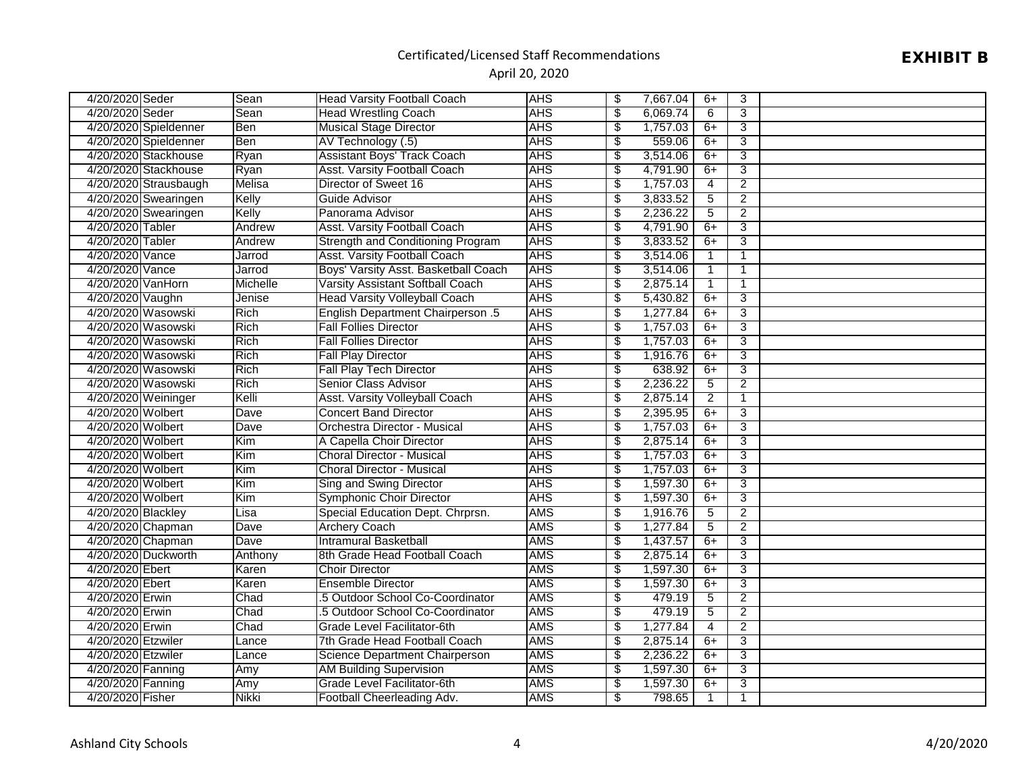## EXHIBIT B

| 4/20/2020 Seder    |                       | Sean         | <b>Head Varsity Football Coach</b>       | <b>AHS</b> | \$                               | 7,667.04 | 6+              | 3              |  |
|--------------------|-----------------------|--------------|------------------------------------------|------------|----------------------------------|----------|-----------------|----------------|--|
| 4/20/2020 Seder    |                       | Sean         | <b>Head Wrestling Coach</b>              | <b>AHS</b> | $\overline{\$}$                  | 6,069.74 | 6               | 3              |  |
|                    | 4/20/2020 Spieldenner | Ben          | <b>Musical Stage Director</b>            | <b>AHS</b> | \$                               | 1,757.03 | $6+$            | 3              |  |
|                    | 4/20/2020 Spieldenner | <b>Ben</b>   | AV Technology (.5)                       | <b>AHS</b> | $\overline{\$}$                  | 559.06   | $6+$            | 3              |  |
|                    | 4/20/2020 Stackhouse  | Ryan         | <b>Assistant Boys' Track Coach</b>       | <b>AHS</b> | \$                               | 3,514.06 | $6+$            | 3              |  |
|                    | 4/20/2020 Stackhouse  | Ryan         | <b>Asst. Varsity Football Coach</b>      | <b>AHS</b> | $\overline{\$}$                  | 4,791.90 | $6+$            | 3              |  |
|                    | 4/20/2020 Strausbaugh | Melisa       | Director of Sweet 16                     | <b>AHS</b> | $\overline{\$}$                  | 1,757.03 | $\overline{4}$  | $\overline{2}$ |  |
|                    | 4/20/2020 Swearingen  | Kelly        | Guide Advisor                            | <b>AHS</b> | $\overline{\$}$                  | 3,833.52 | $\overline{5}$  | $\overline{2}$ |  |
|                    | 4/20/2020 Swearingen  | Kelly        | Panorama Advisor                         | <b>AHS</b> | $\overline{\mathcal{S}}$         | 2,236.22 | $\overline{5}$  | $\overline{2}$ |  |
| 4/20/2020 Tabler   |                       | Andrew       | <b>Asst. Varsity Football Coach</b>      | <b>AHS</b> | $\overline{\mathcal{S}}$         | 4,791.90 | $6+$            | 3              |  |
| 4/20/2020 Tabler   |                       | Andrew       | <b>Strength and Conditioning Program</b> | <b>AHS</b> | $\overline{\$}$                  | 3,833.52 | $6+$            | $\overline{3}$ |  |
| 4/20/2020 Vance    |                       | Jarrod       | <b>Asst. Varsity Football Coach</b>      | <b>AHS</b> | \$                               | 3,514.06 | $\mathbf{1}$    | $\mathbf{1}$   |  |
| 4/20/2020 Vance    |                       | Jarrod       | Boys' Varsity Asst. Basketball Coach     | <b>AHS</b> | $\overline{\mathcal{S}}$         | 3,514.06 | $\mathbf{1}$    | -1             |  |
| 4/20/2020 VanHorn  |                       | Michelle     | Varsity Assistant Softball Coach         | <b>AHS</b> | \$                               | 2,875.14 | $\mathbf{1}$    | 1              |  |
| 4/20/2020 Vaughn   |                       | Jenise       | <b>Head Varsity Volleyball Coach</b>     | <b>AHS</b> | $\overline{\$}$                  | 5,430.82 | $6+$            | $\overline{3}$ |  |
|                    | 4/20/2020 Wasowski    | Rich         | <b>English Department Chairperson .5</b> | <b>AHS</b> | $\overline{\$}$                  | 1,277.84 | $6+$            | $\overline{3}$ |  |
|                    | 4/20/2020 Wasowski    | Rich         | <b>Fall Follies Director</b>             | <b>AHS</b> | \$                               | 1,757.03 | $6+$            | $\overline{3}$ |  |
|                    | 4/20/2020 Wasowski    | <b>Rich</b>  | <b>Fall Follies Director</b>             | <b>AHS</b> | $\overline{\$}$                  | 1,757.03 | $6+$            | 3              |  |
|                    | 4/20/2020 Wasowski    | Rich         | <b>Fall Play Director</b>                | <b>AHS</b> | \$                               | 1,916.76 | $6+$            | 3              |  |
|                    | 4/20/2020 Wasowski    | Rich         | <b>Fall Play Tech Director</b>           | <b>AHS</b> | $\overline{\$}$                  | 638.92   | $6+$            | 3              |  |
|                    | 4/20/2020 Wasowski    | Rich         | <b>Senior Class Advisor</b>              | <b>AHS</b> | \$                               | 2,236.22 | 5               | $\overline{2}$ |  |
|                    | 4/20/2020 Weininger   | Kelli        | <b>Asst. Varsity Volleyball Coach</b>    | <b>AHS</b> | $\overline{\$}$                  | 2,875.14 | $\overline{2}$  | $\mathbf 1$    |  |
| 4/20/2020 Wolbert  |                       | Dave         | <b>Concert Band Director</b>             | <b>AHS</b> | $\overline{\$}$                  | 2,395.95 | $6+$            | 3              |  |
| 4/20/2020 Wolbert  |                       | <b>Dave</b>  | Orchestra Director - Musical             | <b>AHS</b> | $\overline{\mathcal{S}}$         | 1,757.03 | $6+$            | 3              |  |
| 4/20/2020 Wolbert  |                       | Kim          | A Capella Choir Director                 | <b>AHS</b> | \$                               | 2,875.14 | $6+$            | 3              |  |
| 4/20/2020 Wolbert  |                       | Kim          | <b>Choral Director - Musical</b>         | <b>AHS</b> | \$                               | 1,757.03 | $6+$            | 3              |  |
| 4/20/2020 Wolbert  |                       | Kim          | <b>Choral Director - Musical</b>         | <b>AHS</b> | $\overline{\mathcal{S}}$         | 1,757.03 | $6+$            | $\overline{3}$ |  |
| 4/20/2020 Wolbert  |                       | Kim          | Sing and Swing Director                  | <b>AHS</b> | $\overline{\mathcal{S}}$         | 1,597.30 | $6+$            | 3              |  |
| 4/20/2020 Wolbert  |                       | Kim          | <b>Symphonic Choir Director</b>          | <b>AHS</b> | $\overline{\$}$                  | 1,597.30 | $6+$            | 3              |  |
| 4/20/2020 Blackley |                       | Lisa         | Special Education Dept. Chrprsn.         | <b>AMS</b> | $\overline{\$}$                  | 1,916.76 | $\overline{5}$  | $\overline{2}$ |  |
| 4/20/2020 Chapman  |                       | Dave         | <b>Archery Coach</b>                     | <b>AMS</b> | $\overline{\$}$                  | 1,277.84 | 5               | 2              |  |
| 4/20/2020 Chapman  |                       | <b>Dave</b>  | <b>Intramural Basketball</b>             | AMS        | \$                               | 1,437.57 | $6+$            | 3              |  |
|                    | 4/20/2020 Duckworth   | Anthony      | 8th Grade Head Football Coach            | <b>AMS</b> | \$                               | 2,875.14 | $6+$            | 3              |  |
| 4/20/2020 Ebert    |                       | Karen        | <b>Choir Director</b>                    | <b>AMS</b> | \$                               | 1,597.30 | $6+$            | 3              |  |
| 4/20/2020 Ebert    |                       | Karen        | <b>Ensemble Director</b>                 | AMS        | \$                               | 1,597.30 | $6+$            | 3              |  |
| 4/20/2020 Erwin    |                       | Chad         | .5 Outdoor School Co-Coordinator         | AMS        | $\overline{\boldsymbol{\theta}}$ | 479.19   | $5\overline{)}$ | $\overline{2}$ |  |
| 4/20/2020 Erwin    |                       | Chad         | .5 Outdoor School Co-Coordinator         | <b>AMS</b> | \$                               | 479.19   | 5               | $\overline{2}$ |  |
| 4/20/2020 Erwin    |                       | Chad         | Grade Level Facilitator-6th              | <b>AMS</b> | $\overline{\$}$                  | 1,277.84 | $\overline{4}$  | $\overline{2}$ |  |
| 4/20/2020 Etzwiler |                       | Lance        | 7th Grade Head Football Coach            | <b>AMS</b> | \$                               | 2,875.14 | $6+$            | 3              |  |
| 4/20/2020 Etzwiler |                       | Lance        | Science Department Chairperson           | <b>AMS</b> | $\overline{\$}$                  | 2,236.22 | $6+$            | $\overline{3}$ |  |
| 4/20/2020 Fanning  |                       | Amy          | <b>AM Building Supervision</b>           | <b>AMS</b> | $\sqrt[6]{\frac{2}{5}}$          | 1,597.30 | $6+$            | $\overline{3}$ |  |
| 4/20/2020 Fanning  |                       | Amy          | Grade Level Facilitator-6th              | <b>AMS</b> | $\overline{\$}$                  | 1,597.30 | $6+$            | 3              |  |
| 4/20/2020 Fisher   |                       | <b>Nikki</b> | Football Cheerleading Adv.               | <b>AMS</b> | $\overline{\$}$                  | 798.65   | $\mathbf{1}$    | 1              |  |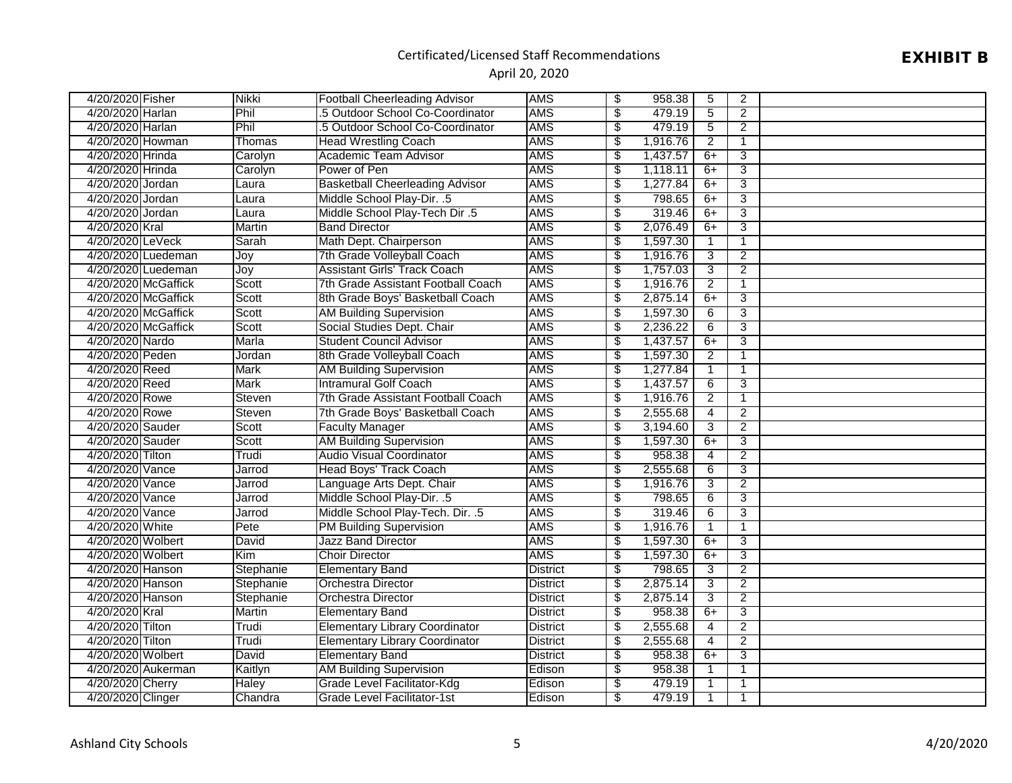## EXHIBIT B

| 4/20/2020 Fisher    | <b>Nikki</b>  | <b>Football Cheerleading Advisor</b>   | <b>AMS</b>      | \$                       | 958.38   | 5               | $\overline{2}$ |  |
|---------------------|---------------|----------------------------------------|-----------------|--------------------------|----------|-----------------|----------------|--|
| 4/20/2020 Harlan    | Phil          | .5 Outdoor School Co-Coordinator       | <b>AMS</b>      | $\overline{\$}$          | 479.19   | 5               | 2              |  |
| 4/20/2020 Harlan    | Phil          | .5 Outdoor School Co-Coordinator       | <b>AMS</b>      | \$                       | 479.19   | 5               | $\overline{2}$ |  |
| 4/20/2020 Howman    | Thomas        | <b>Head Wrestling Coach</b>            | <b>AMS</b>      | $\overline{\$}$          | 1,916.76 | 2               | $\mathbf{1}$   |  |
| 4/20/2020 Hrinda    | Carolyn       | Academic Team Advisor                  | <b>AMS</b>      | $\overline{\$}$          | 1,437.57 | $6+$            | 3              |  |
| 4/20/2020 Hrinda    | Carolyn       | Power of Pen                           | <b>AMS</b>      | $\overline{\$}$          | 1,118.11 | $6+$            | 3              |  |
| 4/20/2020 Jordan    | Laura         | <b>Basketball Cheerleading Advisor</b> | AMS             | $\overline{\$}$          | 1,277.84 | $6+$            | $\overline{3}$ |  |
| 4/20/2020 Jordan    | Laura         | Middle School Play-Dir. .5             | <b>AMS</b>      | $\overline{\$}$          | 798.65   | $6+$            | $\overline{3}$ |  |
| 4/20/2020 Jordan    | Laura         | Middle School Play-Tech Dir.5          | <b>AMS</b>      | $\overline{\$}$          | 319.46   | $6+$            | $\overline{3}$ |  |
| 4/20/2020 Kral      | <b>Martin</b> | <b>Band Director</b>                   | <b>AMS</b>      | $\overline{\$}$          | 2,076.49 | $6+$            | 3              |  |
| 4/20/2020 LeVeck    | Sarah         | Math Dept. Chairperson                 | AMS             | $\overline{\$}$          | 1,597.30 | $\mathbf{1}$    | $\mathbf{1}$   |  |
| 4/20/2020 Luedeman  | Joy           | 7th Grade Volleyball Coach             | <b>AMS</b>      | \$                       | 1,916.76 | 3               | $\overline{2}$ |  |
| 4/20/2020 Luedeman  | Joy           | <b>Assistant Girls' Track Coach</b>    | <b>AMS</b>      | $\overline{\$}$          | 1,757.03 | $\overline{3}$  | $\overline{2}$ |  |
| 4/20/2020 McGaffick | Scott         | 7th Grade Assistant Football Coach     | <b>AMS</b>      | \$                       | 1,916.76 | $\overline{2}$  | $\mathbf{1}$   |  |
| 4/20/2020 McGaffick | Scott         | 8th Grade Boys' Basketball Coach       | <b>AMS</b>      | $\overline{\$}$          | 2,875.14 | $6+$            | 3              |  |
| 4/20/2020 McGaffick | Scott         | <b>AM Building Supervision</b>         | <b>AMS</b>      | $\overline{\$}$          | 1,597.30 | 6               | 3              |  |
| 4/20/2020 McGaffick | Scott         | Social Studies Dept. Chair             | <b>AMS</b>      | \$                       | 2,236.22 | 6               | 3              |  |
| 4/20/2020 Nardo     | Marla         | <b>Student Council Advisor</b>         | <b>AMS</b>      | \$                       | 1,437.57 | $6+$            | 3              |  |
| 4/20/2020 Peden     | Jordan        | 8th Grade Volleyball Coach             | <b>AMS</b>      | $\overline{\$}$          | 1,597.30 | $\overline{2}$  | $\mathbf{1}$   |  |
| 4/20/2020 Reed      | <b>Mark</b>   | <b>AM Building Supervision</b>         | <b>AMS</b>      | $\overline{\$}$          | 1,277.84 | $\mathbf{1}$    | $\mathbf{1}$   |  |
| 4/20/2020 Reed      | <b>Mark</b>   | <b>Intramural Golf Coach</b>           | <b>AMS</b>      | $\overline{\$}$          | 1,437.57 | 6               | 3              |  |
| 4/20/2020 Rowe      | <b>Steven</b> | 7th Grade Assistant Football Coach     | <b>AMS</b>      | \$                       | 1,916.76 | $\overline{2}$  | $\mathbf{1}$   |  |
| 4/20/2020 Rowe      | Steven        | 7th Grade Boys' Basketball Coach       | <b>AMS</b>      | $\overline{\$}$          | 2,555.68 | $\overline{4}$  | $\overline{2}$ |  |
| 4/20/2020 Sauder    | Scott         | <b>Faculty Manager</b>                 | <b>AMS</b>      | $\overline{\$}$          | 3,194.60 | 3               | $\overline{2}$ |  |
| 4/20/2020 Sauder    | Scott         | <b>AM Building Supervision</b>         | <b>AMS</b>      | $\overline{\$}$          | 1,597.30 | $6+$            | 3              |  |
| 4/20/2020 Tilton    | Trudi         | <b>Audio Visual Coordinator</b>        | <b>AMS</b>      | $\overline{\$}$          | 958.38   | $\overline{4}$  | $\overline{2}$ |  |
| 4/20/2020 Vance     | Jarrod        | <b>Head Boys' Track Coach</b>          | <b>AMS</b>      | $\overline{\$}$          | 2,555.68 | $6\phantom{1}6$ | $\overline{3}$ |  |
| 4/20/2020 Vance     | Jarrod        | Language Arts Dept. Chair              | <b>AMS</b>      | $\overline{\$}$          | 1,916.76 | $\overline{3}$  | $\overline{2}$ |  |
| 4/20/2020 Vance     | Jarrod        | Middle School Play-Dir. .5             | <b>AMS</b>      | $\overline{\$}$          | 798.65   | 6               | 3              |  |
| 4/20/2020 Vance     | Jarrod        | Middle School Play-Tech. Dir. .5       | <b>AMS</b>      | $\overline{\$}$          | 319.46   | 6               | 3              |  |
| 4/20/2020 White     | Pete          | <b>PM Building Supervision</b>         | <b>AMS</b>      | $\overline{\$}$          | 1,916.76 | $\mathbf{1}$    | $\mathbf{1}$   |  |
| 4/20/2020 Wolbert   | David         | <b>Jazz Band Director</b>              | <b>AMS</b>      | $\overline{\$}$          | 1,597.30 | $6+$            | 3              |  |
| 4/20/2020 Wolbert   | Kim           | <b>Choir Director</b>                  | <b>AMS</b>      | $\overline{\$}$          | 1,597.30 | $6+$            | 3              |  |
| 4/20/2020 Hanson    | Stephanie     | <b>Elementary Band</b>                 | District        | $\overline{\$}$          | 798.65   | 3               | $\overline{2}$ |  |
| 4/20/2020 Hanson    | Stephanie     | <b>Orchestra Director</b>              | District        | \$                       | 2,875.14 | 3               | $\overline{2}$ |  |
| 4/20/2020 Hanson    | Stephanie     | <b>Orchestra Director</b>              | District        | $\overline{\mathcal{S}}$ | 2,875.14 | $\overline{3}$  | $\overline{2}$ |  |
| 4/20/2020 Kral      | Martin        | <b>Elementary Band</b>                 | <b>District</b> | \$                       | 958.38   | $6+$            | 3              |  |
| 4/20/2020 Tilton    | Trudi         | <b>Elementary Library Coordinator</b>  | <b>District</b> | $\overline{\$}$          | 2,555.68 | $\overline{4}$  | $\overline{2}$ |  |
| 4/20/2020 Tilton    | Trudi         | <b>Elementary Library Coordinator</b>  | <b>District</b> | \$                       | 2,555.68 | $\overline{4}$  | 2              |  |
| 4/20/2020 Wolbert   | David         | <b>Elementary Band</b>                 | District        | $\overline{\$}$          | 958.38   | $6+$            | 3              |  |
| 4/20/2020 Aukerman  | Kaitlyn       | <b>AM Building Supervision</b>         | Edison          | $\overline{\mathcal{E}}$ | 958.38   | $\mathbf{1}$    | $\mathbf{1}$   |  |
| 4/20/2020 Cherry    | <b>Haley</b>  | Grade Level Facilitator-Kdg            | Edison          | $\overline{\$}$          | 479.19   | $\mathbf{1}$    | $\mathbf{1}$   |  |
| 4/20/2020 Clinger   | Chandra       | <b>Grade Level Facilitator-1st</b>     | Edison          | $\overline{\$}$          | 479.19   | $\mathbf{1}$    |                |  |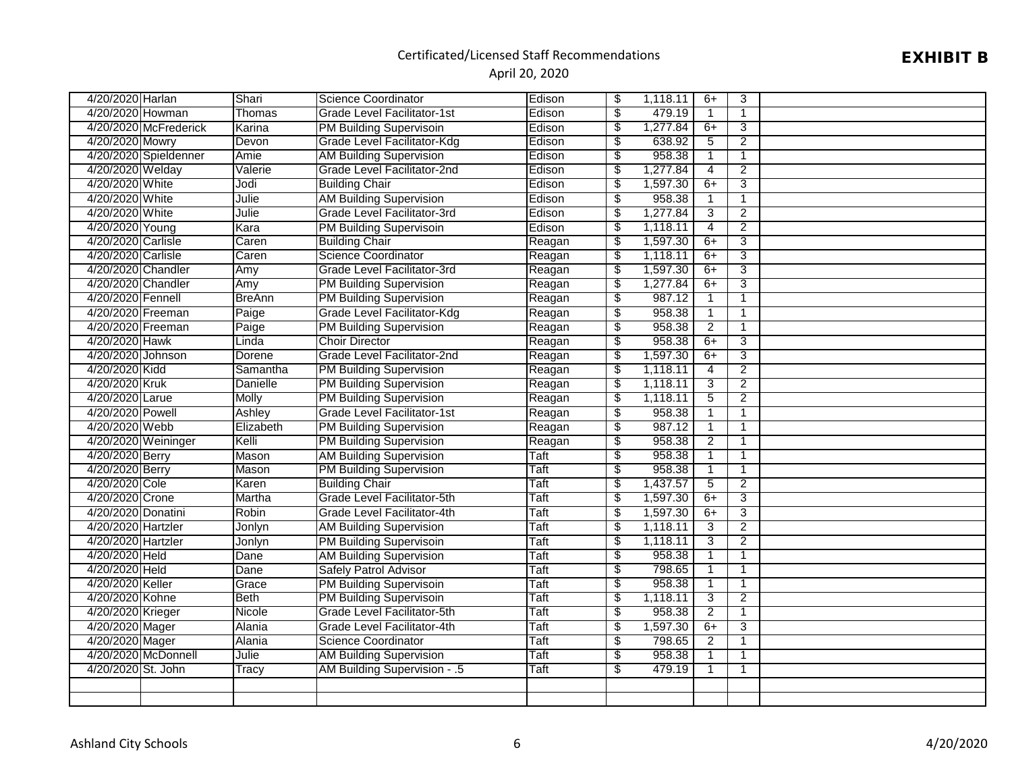## EXHIBIT B

| 4/20/2020 Harlan   |                       | Shari           | <b>Science Coordinator</b>         | Edison      | \$                       | 1,118.11 | $6+$           | 3              |  |
|--------------------|-----------------------|-----------------|------------------------------------|-------------|--------------------------|----------|----------------|----------------|--|
| 4/20/2020 Howman   |                       | Thomas          | Grade Level Facilitator-1st        | Edison      | $\overline{\$}$          | 479.19   | $\mathbf{1}$   | 1              |  |
|                    | 4/20/2020 McFrederick | Karina          | PM Building Supervisoin            | Edison      | \$                       | 1,277.84 | 6+             | 3              |  |
| 4/20/2020 Mowry    |                       | Devon           | Grade Level Facilitator-Kdg        | Edison      | $\overline{\$}$          | 638.92   | 5              | $\overline{2}$ |  |
|                    | 4/20/2020 Spieldenner | Amie            | <b>AM Building Supervision</b>     | Edison      | \$                       | 958.38   | $\mathbf{1}$   | 1              |  |
| 4/20/2020 Welday   |                       | Valerie         | Grade Level Facilitator-2nd        | Edison      | \$                       | 1,277.84 | 4              | 2              |  |
| 4/20/2020 White    |                       | Jodi            | <b>Building Chair</b>              | Edison      | $\overline{\$}$          | 1,597.30 | $6+$           | 3              |  |
| 4/20/2020 White    |                       | Julie           | <b>AM Building Supervision</b>     | Edison      | $\overline{\$}$          | 958.38   | $\mathbf{1}$   | 1              |  |
| 4/20/2020 White    |                       | Julie           | Grade Level Facilitator-3rd        | Edison      | $\overline{\$}$          | 1,277.84 | $\overline{3}$ | $\overline{2}$ |  |
| 4/20/2020 Young    |                       | Kara            | PM Building Supervisoin            | Edison      | $\overline{\$}$          | 1,118.11 | $\overline{4}$ | $\overline{2}$ |  |
| 4/20/2020 Carlisle |                       | Caren           | <b>Building Chair</b>              | Reagan      | $\overline{\$}$          | 1,597.30 | $6+$           | 3              |  |
| 4/20/2020 Carlisle |                       | Caren           | <b>Science Coordinator</b>         | Reagan      | $\overline{\$}$          | 1,118.11 | $6+$           | 3              |  |
| 4/20/2020 Chandler |                       | Amy             | Grade Level Facilitator-3rd        | Reagan      | $\overline{\$}$          | 1,597.30 | $6+$           | 3              |  |
| 4/20/2020 Chandler |                       | Amy             | <b>PM Building Supervision</b>     | Reagan      | \$                       | 1,277.84 | $6+$           | 3              |  |
| 4/20/2020 Fennell  |                       | <b>BreAnn</b>   | <b>PM Building Supervision</b>     | Reagan      | $\overline{\$}$          | 987.12   | $\mathbf{1}$   | 1              |  |
| 4/20/2020 Freeman  |                       | Paige           | Grade Level Facilitator-Kdg        | Reagan      | $\overline{\$}$          | 958.38   | $\mathbf{1}$   |                |  |
| 4/20/2020 Freeman  |                       | Paige           | <b>PM Building Supervision</b>     | Reagan      | $\overline{\$}$          | 958.38   | $\overline{2}$ | $\mathbf{1}$   |  |
| 4/20/2020 Hawk     |                       | Linda           | <b>Choir Director</b>              | Reagan      | $\overline{\$}$          | 958.38   | $6+$           | 3              |  |
| 4/20/2020 Johnson  |                       | Dorene          | Grade Level Facilitator-2nd        | Reagan      | $\overline{\$}$          | 1,597.30 | $6+$           | 3              |  |
| 4/20/2020 Kidd     |                       | Samantha        | <b>PM Building Supervision</b>     | Reagan      | \$                       | 1,118.11 | $\overline{4}$ | $\overline{2}$ |  |
| 4/20/2020 Kruk     |                       | <b>Danielle</b> | <b>PM Building Supervision</b>     | Reagan      | \$                       | 1,118.11 | 3              | $\overline{2}$ |  |
| 4/20/2020 Larue    |                       | Molly           | <b>PM Building Supervision</b>     | Reagan      | $\overline{\$}$          | 1,118.11 | 5              | $\overline{2}$ |  |
| 4/20/2020 Powell   |                       | Ashley          | <b>Grade Level Facilitator-1st</b> | Reagan      | $\sqrt[6]{\frac{2}{5}}$  | 958.38   | $\mathbf{1}$   | $\mathbf{1}$   |  |
| 4/20/2020 Webb     |                       | Elizabeth       | <b>PM Building Supervision</b>     | Reagan      | $\overline{\$}$          | 987.12   | $\mathbf{1}$   | 1              |  |
|                    | 4/20/2020 Weininger   | Kelli           | <b>PM Building Supervision</b>     | Reagan      | $\overline{\$}$          | 958.38   | $\overline{2}$ |                |  |
| 4/20/2020 Berry    |                       | Mason           | <b>AM Building Supervision</b>     | Taft        | \$                       | 958.38   | $\mathbf{1}$   |                |  |
| 4/20/2020 Berry    |                       | Mason           | <b>PM Building Supervision</b>     | Taft        | $\overline{\$}$          | 958.38   | $\overline{1}$ | 1              |  |
| 4/20/2020 Cole     |                       | Karen           | <b>Building Chair</b>              | Taft        | $\overline{\$}$          | 1,437.57 | $\overline{5}$ | $\overline{2}$ |  |
| 4/20/2020 Crone    |                       | Martha          | Grade Level Facilitator-5th        | <b>Taft</b> | $\overline{\$}$          | 1,597.30 | $6+$           | $\overline{3}$ |  |
| 4/20/2020 Donatini |                       | Robin           | Grade Level Facilitator-4th        | Taft        | \$                       | 1,597.30 | $6+$           | 3              |  |
| 4/20/2020 Hartzler |                       | Jonlyn          | <b>AM Building Supervision</b>     | <b>Taft</b> | $\overline{\$}$          | 1,118.11 | $\overline{3}$ | $\overline{2}$ |  |
| 4/20/2020 Hartzler |                       | Jonlyn          | PM Building Supervisoin            | <b>Taft</b> | $\overline{\$}$          | 1,118.11 | 3              | $\overline{2}$ |  |
| 4/20/2020 Held     |                       | Dane            | <b>AM Building Supervision</b>     | <b>Taft</b> | $\overline{\$}$          | 958.38   | $\mathbf{1}$   |                |  |
| 4/20/2020 Held     |                       | Dane            | <b>Safely Patrol Advisor</b>       | Taft        | $\overline{\$}$          | 798.65   | $\mathbf{1}$   | 1              |  |
| 4/20/2020 Keller   |                       | Grace           | <b>PM Building Supervisoin</b>     | Taft        | $\overline{\$}$          | 958.38   | $\mathbf{1}$   | 1              |  |
| 4/20/2020 Kohne    |                       | <b>Beth</b>     | PM Building Supervisoin            | Taft        | $\overline{\mathcal{S}}$ | 1,118.11 | $\overline{3}$ | $\overline{2}$ |  |
| 4/20/2020 Krieger  |                       | Nicole          | Grade Level Facilitator-5th        | <b>Taft</b> | $\overline{\$}$          | 958.38   | 2              | 1              |  |
| 4/20/2020 Mager    |                       | <b>Alania</b>   | Grade Level Facilitator-4th        | <b>Taft</b> | $\overline{\$}$          | 1,597.30 | $6+$           | 3              |  |
| 4/20/2020 Mager    |                       | <b>Alania</b>   | <b>Science Coordinator</b>         | <b>Taft</b> | \$                       | 798.65   | $\overline{2}$ |                |  |
|                    | 4/20/2020 McDonnell   | Julie           | <b>AM Building Supervision</b>     | <b>Taft</b> | $\overline{\$}$          | 958.38   | $\mathbf{1}$   | $\mathbf{1}$   |  |
| 4/20/2020 St. John |                       | Tracy           | AM Building Supervision - .5       | Taft        | $\overline{\$}$          | 479.19   | $\mathbf{1}$   | 1              |  |
|                    |                       |                 |                                    |             |                          |          |                |                |  |
|                    |                       |                 |                                    |             |                          |          |                |                |  |